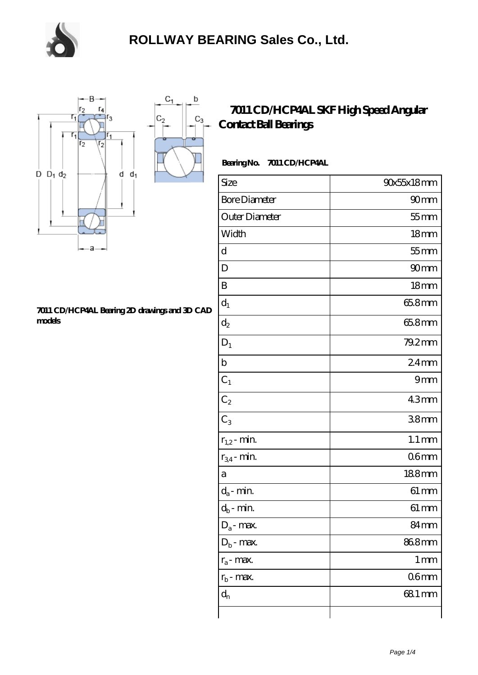



#### **[7011 CD/HCP4AL Bearing 2D drawings and 3D CAD](https://m.chooseyourcufflinks.com/pic-938468.html) [models](https://m.chooseyourcufflinks.com/pic-938468.html)**

### **[7011 CD/HCP4AL SKF High Speed Angular](https://m.chooseyourcufflinks.com/skf-bearing/7011-cd-hcp4al.html) [Contact Ball Bearings](https://m.chooseyourcufflinks.com/skf-bearing/7011-cd-hcp4al.html)**

### **Bearing No. 7011 CD/HCP4AL**

| Size                       | 90x55x18mm         |
|----------------------------|--------------------|
| <b>Bore Diameter</b>       | 90 <sub>mm</sub>   |
| Outer Diameter             | $55$ mm            |
| Width                      | 18 <sub>mm</sub>   |
| d                          | $55$ mm            |
| D                          | 90 <sub>mm</sub>   |
| B                          | 18 <sub>mm</sub>   |
| $d_1$                      | 65.8mm             |
| $d_2$                      | 65.8mm             |
| $D_1$                      | 79.2mm             |
| $\mathbf b$                | $24$ mm            |
| $C_1$                      | 9mm                |
| $C_2$                      | 43mm               |
| $\overline{C_3}$           | 38 <sub>mm</sub>   |
| $r_{1,2}$ - min.           | $1.1 \, \text{mm}$ |
| $r_{34}$ - min.            | 06 <sub>mm</sub>   |
| a                          | 188mm              |
| $d_a$ - min.               | $61 \, \text{mm}$  |
| $d_b\operatorname{-} \min$ | $61 \, \text{mm}$  |
| $D_a$ - max.               | 84mm               |
| $D_b$ - max.               | 868mm              |
| $r_a$ - max.               | $1 \,\mathrm{mm}$  |
| $r_{b}$ - max.             | 06 <sub>mm</sub>   |
| $d_{n}$                    | 681 mm             |
|                            |                    |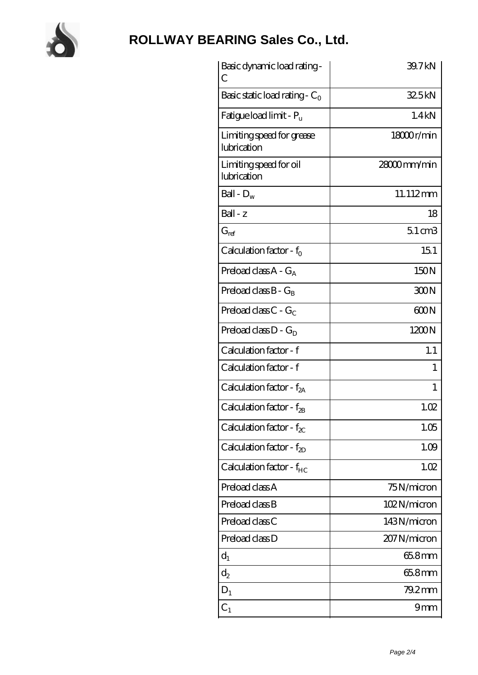

# **[ROLLWAY BEARING Sales Co., Ltd.](https://m.chooseyourcufflinks.com)**

| Basic dynamic load rating-<br>С          | 39.7kN          |
|------------------------------------------|-----------------|
| Basic static load rating - $C_0$         | 32.5kN          |
| Fatigue load limit - $P_{\rm u}$         | 1.4kN           |
| Limiting speed for grease<br>lubrication | 18000r/min      |
| Limiting speed for oil<br>lubrication    | 28000mm/min     |
| Ball - $D_w$                             | 11.112mm        |
| $Ball - z$                               | 18              |
| $G_{ref}$                                | $51 \text{ cm}$ |
| Calculation factor - $f_0$               | 151             |
| Preload class $A - G_A$                  | 150N            |
| Preload class $B - G_B$                  | 300N            |
| Preload class $C - G_C$                  | 600N            |
| Preload class $D - G_D$                  | 1200N           |
| Calculation factor - f                   | 1.1             |
| Calculation factor - f                   | 1               |
| Calculation factor - f <sub>2A</sub>     | 1               |
| Calculation factor - $f_{\rm 2B}$        | 1.02            |
| Calculation factor - $f_{\chi}$          | 1.05            |
| Calculation factor - $f_{ZD}$            | 1.09            |
| Calculation factor - $f_{HC}$            | 1.02            |
| Preload class A                          | 75N/micron      |
| Preload class B                          | 102N/micron     |
| Preload class C                          | 143N/micron     |
| Preload class D                          | 207N/micron     |
| $d_1$                                    | 65.8mm          |
| $\mathrm{d}_2$                           | 65.8mm          |
| $D_1$                                    | 79.2mm          |
| $C_{1}$                                  | 9mm             |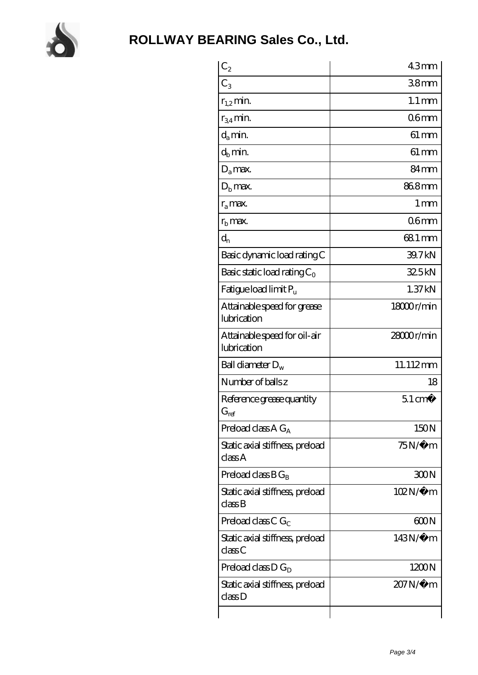

| $\mathrm{C}_2$                                  | 43 <sub>mm</sub>    |
|-------------------------------------------------|---------------------|
| $C_3$                                           | 38mm                |
| $r_{1,2}$ min.                                  | $1.1 \,\mathrm{mm}$ |
| $r_{34}$ min.                                   | 06 <sub>mm</sub>    |
| $d_{a}$ min.                                    | $61 \,\mathrm{mm}$  |
| $d_h$ min.                                      | $61 \,\mathrm{mm}$  |
| $D_a$ max.                                      | 84 <sub>mm</sub>    |
| $Db$ max.                                       | 868mm               |
| $r_a$ max.                                      | $1 \,\mathrm{mm}$   |
| $rb$ max.                                       | 06 <sub>mm</sub>    |
| $d_{n}$                                         | 68.1 mm             |
| Basic dynamic load rating C                     | 39.7kN              |
| Basic static load rating $C_0$                  | 325kN               |
| Fatigue load limit Pu                           | 1.37kN              |
| Attainable speed for grease<br>lubrication      | 18000r/min          |
| Attainable speed for oil-air<br>lubrication     | 28000r/min          |
| Ball diameter $D_w$                             | 11.112mm            |
| Number of balls z                               | 18                  |
| Reference grease quantity<br>$G_{\mathrm{ref}}$ | $51 \text{ cm}^3$   |
| Preload class $A G_A$                           | 150N                |
| Static axial stiffness, preload<br>classA       | $75N/\mu$ m         |
| Preload class $BG_B$                            | 300N                |
| Static axial stiffness, preload<br>classB       | $102N/\mu$ m        |
| Preload class C $G_C$                           | 600N                |
| Static axial stiffness, preload<br>classC       | $143N/\mu$ m        |
| Preload class $D G_D$                           | 1200N               |
| Static axial stiffness, preload<br>classD       | 207N/µ m            |
|                                                 |                     |